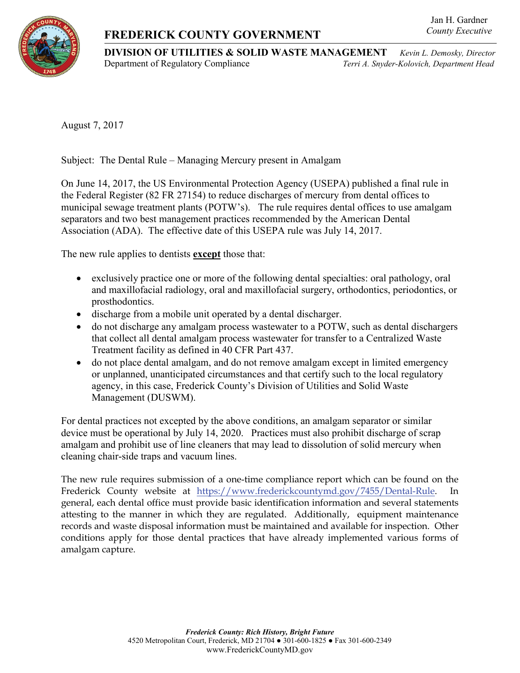## **FREDERICK COUNTY GOVERNMENT**

## Jan H. Gardner *County Executive*

**DIVISION OF UTILITIES & SOLID WASTE MANAGEMENT** *Kevin L. Demosky, Director* Department of Regulatory Compliance *Terri A. Snyder-Kolovich, Department Head*

August 7, 2017

Subject: The Dental Rule – Managing Mercury present in Amalgam

On June 14, 2017, the US Environmental Protection Agency (USEPA) published a final rule in the Federal Register (82 FR 27154) to reduce discharges of mercury from dental offices to municipal sewage treatment plants (POTW's). The rule requires dental offices to use amalgam separators and two best management practices recommended by the American Dental Association (ADA). The effective date of this USEPA rule was July 14, 2017.

The new rule applies to dentists **except** those that:

- exclusively practice one or more of the following dental specialties: oral pathology, oral and maxillofacial radiology, oral and maxillofacial surgery, orthodontics, periodontics, or prosthodontics.
- discharge from a mobile unit operated by a dental discharger.
- do not discharge any amalgam process wastewater to a POTW, such as dental dischargers that collect all dental amalgam process wastewater for transfer to a Centralized Waste Treatment facility as defined in 40 CFR Part 437.
- do not place dental amalgam, and do not remove amalgam except in limited emergency or unplanned, unanticipated circumstances and that certify such to the local regulatory agency, in this case, Frederick County's Division of Utilities and Solid Waste Management (DUSWM).

For dental practices not excepted by the above conditions, an amalgam separator or similar device must be operational by July 14, 2020. Practices must also prohibit discharge of scrap amalgam and prohibit use of line cleaners that may lead to dissolution of solid mercury when cleaning chair-side traps and vacuum lines.

The new rule requires submission of a one-time compliance report which can be found on the Frederick County website at [https://www.frederickcountymd.gov/7455/Dental-Rule.](https://www.frederickcountymd.gov/7455/Dental-Rule) general, each dental office must provide basic identification information and several statements attesting to the manner in which they are regulated. Additionally, equipment maintenance records and waste disposal information must be maintained and available for inspection. Other conditions apply for those dental practices that have already implemented various forms of amalgam capture.